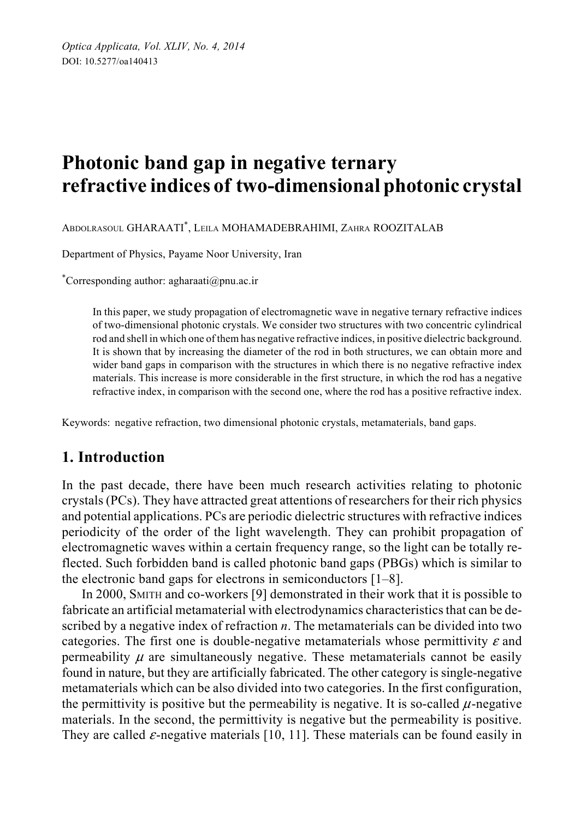# **Photonic band gap in negative ternary refractive indices of two-dimensional photonic crystal**

ABDOLRASOUL GHARAATI\* , LEILA MOHAMADEBRAHIMI, ZAHRA ROOZITALAB

Department of Physics, Payame Noor University, Iran

\* Corresponding author: agharaati@pnu.ac.ir

In this paper, we study propagation of electromagnetic wave in negative ternary refractive indices of two-dimensional photonic crystals. We consider two structures with two concentric cylindrical rod and shell in which one of them has negative refractive indices, in positive dielectric background. It is shown that by increasing the diameter of the rod in both structures, we can obtain more and wider band gaps in comparison with the structures in which there is no negative refractive index materials. This increase is more considerable in the first structure, in which the rod has a negative refractive index, in comparison with the second one, where the rod has a positive refractive index.

Keywords: negative refraction, two dimensional photonic crystals, metamaterials, band gaps.

## **1. Introduction**

In the past decade, there have been much research activities relating to photonic crystals (PCs). They have attracted great attentions of researchers for their rich physics and potential applications. PCs are periodic dielectric structures with refractive indices periodicity of the order of the light wavelength. They can prohibit propagation of electromagnetic waves within a certain frequency range, so the light can be totally reflected. Such forbidden band is called photonic band gaps (PBGs) which is similar to the electronic band gaps for electrons in semiconductors [1–8].

In 2000, SMITH and co-workers [9] demonstrated in their work that it is possible to fabricate an artificial metamaterial with electrodynamics characteristics that can be described by a negative index of refraction *n*. The metamaterials can be divided into two categories. The first one is double-negative metamaterials whose permittivity  $\varepsilon$  and permeability  $\mu$  are simultaneously negative. These metamaterials cannot be easily found in nature, but they are artificially fabricated. The other category is single-negative metamaterials which can be also divided into two categories. In the first configuration, the permittivity is positive but the permeability is negative. It is so-called  $\mu$ -negative materials. In the second, the permittivity is negative but the permeability is positive. They are called  $\varepsilon$ -negative materials [10, 11]. These materials can be found easily in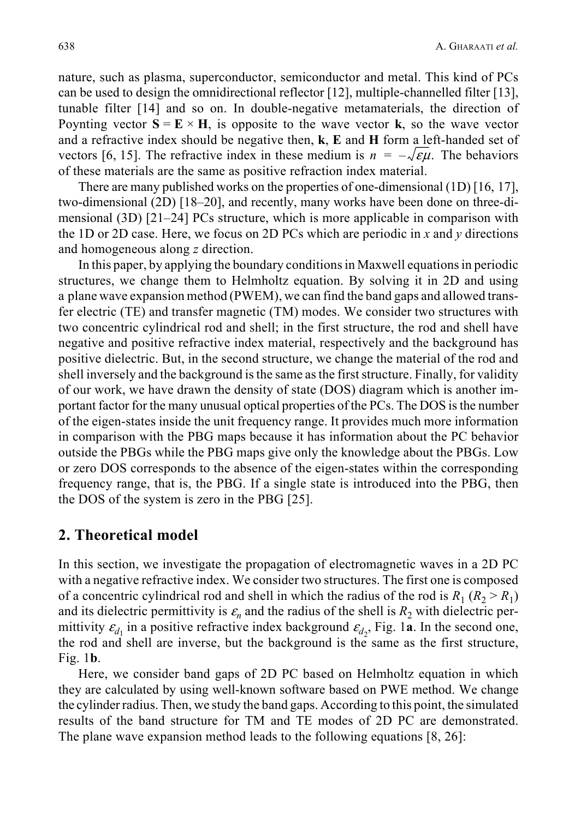nature, such as plasma, superconductor, semiconductor and metal. This kind of PCs can be used to design the omnidirectional reflector [12], multiple-channelled filter [13], tunable filter [14] and so on. In double-negative metamaterials, the direction of Poynting vector  $S = E \times H$ , is opposite to the wave vector **k**, so the wave vector and a refractive index should be negative then, **k**, **E** and **H** form a left-handed set of vectors [6, 15]. The refractive index in these medium is  $n = -\sqrt{\varepsilon \mu}$ . The behaviors of these materials are the same as positive refraction index material.

There are many published works on the properties of one-dimensional (1D) [16, 17], two-dimensional (2D) [18–20], and recently, many works have been done on three-dimensional (3D) [21–24] PCs structure, which is more applicable in comparison with the 1D or 2D case. Here, we focus on 2D PCs which are periodic in *x* and *y* directions and homogeneous along *z* direction.

In this paper, by applying the boundary conditions in Maxwell equations in periodic structures, we change them to Helmholtz equation. By solving it in 2D and using a plane wave expansion method (PWEM), we can find the band gaps and allowed transfer electric (TE) and transfer magnetic (TM) modes. We consider two structures with two concentric cylindrical rod and shell; in the first structure, the rod and shell have negative and positive refractive index material, respectively and the background has positive dielectric. But, in the second structure, we change the material of the rod and shell inversely and the background is the same as the first structure. Finally, for validity of our work, we have drawn the density of state (DOS) diagram which is another important factor for the many unusual optical properties of the PCs. The DOS is the number of the eigen-states inside the unit frequency range. It provides much more information in comparison with the PBG maps because it has information about the PC behavior outside the PBGs while the PBG maps give only the knowledge about the PBGs. Low or zero DOS corresponds to the absence of the eigen-states within the corresponding frequency range, that is, the PBG. If a single state is introduced into the PBG, then the DOS of the system is zero in the PBG [25].

### **2. Theoretical model**

In this section, we investigate the propagation of electromagnetic waves in a 2D PC with a negative refractive index. We consider two structures. The first one is composed of a concentric cylindrical rod and shell in which the radius of the rod is  $R_1 (R_2 > R_1)$ and its dielectric permittivity is  $\varepsilon_n$  and the radius of the shell is  $R_2$  with dielectric permittivity  $\varepsilon_{d_1}$  in a positive refractive index background  $\varepsilon_{d_2}$ , Fig. 1a. In the second one, the rod and shell are inverse, but the background is the same as the first structure, Fig. 1**b**.

Here, we consider band gaps of 2D PC based on Helmholtz equation in which they are calculated by using well-known software based on PWE method. We change the cylinder radius. Then, we study the band gaps. According to this point, the simulated results of the band structure for TM and TE modes of 2D PC are demonstrated. The plane wave expansion method leads to the following equations [8, 26]: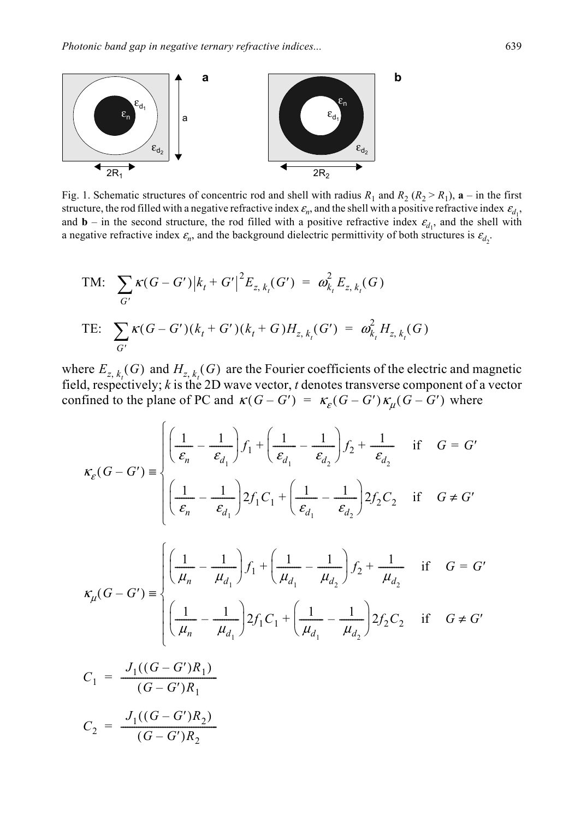

Fig. 1. Schematic structures of concentric rod and shell with radius  $R_1$  and  $R_2$  ( $R_2 > R_1$ ),  $\mathbf{a}$  – in the first structure, the rod filled with a negative refractive index  $\varepsilon_n$ , and the shell with a positive refractive index  $\varepsilon_{d_1}$ , and **b** – in the second structure, the rod filled with a positive refractive index  $\varepsilon_{d_1}$ , and the shell with a negative refractive index  $\varepsilon_n$ , and the background dielectric permittivity of both structures is  $\varepsilon_{d_2}$ .

TM: 
$$
\sum_{G'} \kappa(G - G') |k_t + G'|^2 E_{z, k_t}(G') = \omega_{k_t}^2 E_{z, k_t}(G)
$$
  
TE: 
$$
\sum_{G'} \kappa(G - G')(k_t + G')(k_t + G) H_{z, k_t}(G') = \omega_{k_t}^2 H_{z, k_t}(G)
$$

where  $E_{z,k}(G)$  and  $H_{z,k}(G)$  are the Fourier coefficients of the electric and magnetic field, respectively; *k* is the 2D wave vector, *t* denotes transverse component of a vector confined to the plane of PC and  $\kappa(G - G') = \kappa_{\varepsilon}(G - G') \kappa_{\mu}(G - G')$  where  $E_{z, k_t}(G)$  and  $H_{z, k_t}(G)$ 

$$
\kappa_{\varepsilon}(G - G') = \begin{cases}\n\left(\frac{1}{\varepsilon_{n}} - \frac{1}{\varepsilon_{d_{1}}}\right) f_{1} + \left(\frac{1}{\varepsilon_{d_{1}}} - \frac{1}{\varepsilon_{d_{2}}}\right) f_{2} + \frac{1}{\varepsilon_{d_{2}}}\n\end{cases} \text{ if } G = G'
$$
\n
$$
\kappa_{\varepsilon}(G - G') = \begin{cases}\n\left(\frac{1}{\varepsilon_{n}} - \frac{1}{\varepsilon_{d_{1}}}\right) 2f_{1}C_{1} + \left(\frac{1}{\varepsilon_{d_{1}}} - \frac{1}{\varepsilon_{d_{2}}}\right) 2f_{2}C_{2} & \text{if } G \neq G'\n\end{cases}
$$
\n
$$
\kappa_{\mu}(G - G') = \begin{cases}\n\left(\frac{1}{\mu_{n}} - \frac{1}{\mu_{d_{1}}}\right) f_{1} + \left(\frac{1}{\mu_{d_{1}}} - \frac{1}{\mu_{d_{2}}}\right) f_{2} + \frac{1}{\mu_{d_{2}}}\n\end{cases} \text{ if } G = G'
$$
\n
$$
\kappa_{\mu}(G - G') = \begin{cases}\n\left(\frac{1}{\mu_{n}} - \frac{1}{\mu_{d_{1}}}\right) 2f_{1}C_{1} + \left(\frac{1}{\mu_{d_{1}}} - \frac{1}{\mu_{d_{2}}}\right) 2f_{2}C_{2} & \text{if } G \neq G'\n\end{cases}
$$

$$
C_1 = \frac{J_1((G - G')R_1)}{(G - G')R_1}
$$

$$
C_2 = \frac{J_1((G - G')R_2)}{(G - G')R_2}
$$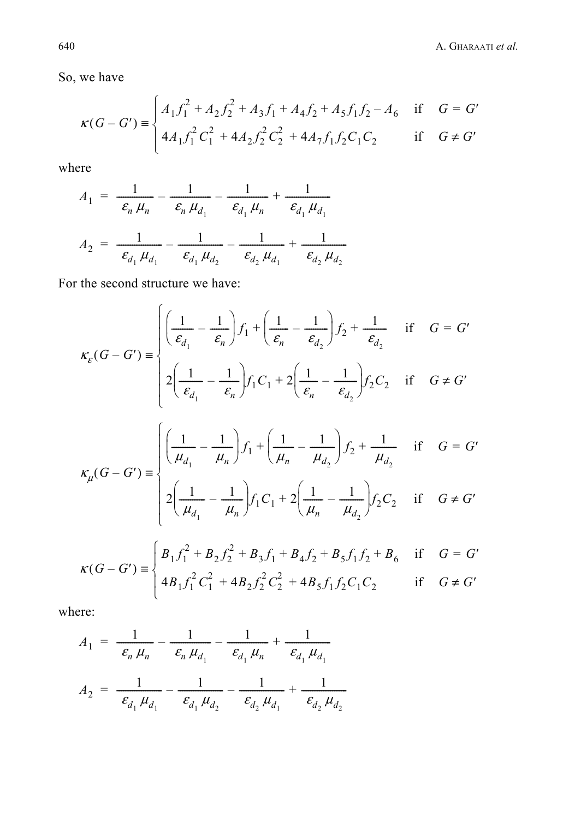So, we have

$$
\kappa(G - G') \equiv \begin{cases} A_1 f_1^2 + A_2 f_2^2 + A_3 f_1 + A_4 f_2 + A_5 f_1 f_2 - A_6 & \text{if } G = G' \\ 4A_1 f_1^2 C_1^2 + 4A_2 f_2^2 C_2^2 + 4A_7 f_1 f_2 C_1 C_2 & \text{if } G \neq G' \end{cases}
$$

where

$$
A_1 = \frac{1}{\epsilon_n \mu_n} - \frac{1}{\epsilon_n \mu_{d_1}} - \frac{1}{\epsilon_{d_1} \mu_n} + \frac{1}{\epsilon_{d_1} \mu_{d_1}}
$$
  

$$
A_2 = \frac{1}{\epsilon_{d_1} \mu_{d_1}} - \frac{1}{\epsilon_{d_1} \mu_{d_2}} - \frac{1}{\epsilon_{d_2} \mu_{d_1}} + \frac{1}{\epsilon_{d_2} \mu_{d_2}}
$$

For the second structure we have:

$$
\kappa_{\varepsilon}(G - G') \equiv \begin{cases} \left(\frac{1}{\varepsilon_{d_1}} - \frac{1}{\varepsilon_n}\right) f_1 + \left(\frac{1}{\varepsilon_n} - \frac{1}{\varepsilon_{d_2}}\right) f_2 + \frac{1}{\varepsilon_{d_2}} & \text{if } G = G' \\ 2\left(\frac{1}{\varepsilon_{d_1}} - \frac{1}{\varepsilon_n}\right) f_1 C_1 + 2\left(\frac{1}{\varepsilon_n} - \frac{1}{\varepsilon_{d_2}}\right) f_2 C_2 & \text{if } G \neq G' \end{cases}
$$
  

$$
\kappa_{\mu}(G - G') \equiv \begin{cases} \left(\frac{1}{\mu_{d_1}} - \frac{1}{\mu_n}\right) f_1 + \left(\frac{1}{\mu_n} - \frac{1}{\mu_{d_2}}\right) f_2 + \frac{1}{\mu_{d_2}} & \text{if } G = G' \\ 2\left(\frac{1}{\mu_{d_1}} - \frac{1}{\mu_n}\right) f_1 C_1 + 2\left(\frac{1}{\mu_n} - \frac{1}{\mu_{d_2}}\right) f_2 C_2 & \text{if } G \neq G' \end{cases}
$$
  

$$
\kappa(G - G') \equiv \begin{cases} B_1 f_1^2 + B_2 f_2^2 + B_3 f_1 + B_4 f_2 + B_5 f_1 f_2 + B_6 & \text{if } G = G' \end{cases}
$$

$$
(G - G') \equiv \left\{ 4B_1 f_1^2 C_1^2 + 4B_2 f_2^2 C_2^2 + 4B_5 f_1 f_2 C_1 C_2 \right\}
$$
 if  $G \neq G'$ 

where:

$$
A_1 = \frac{1}{\epsilon_n \mu_n} - \frac{1}{\epsilon_n \mu_{d_1}} - \frac{1}{\epsilon_{d_1} \mu_n} + \frac{1}{\epsilon_{d_1} \mu_{d_1}}
$$
  

$$
A_2 = \frac{1}{\epsilon_{d_1} \mu_{d_1}} - \frac{1}{\epsilon_{d_1} \mu_{d_2}} - \frac{1}{\epsilon_{d_2} \mu_{d_1}} + \frac{1}{\epsilon_{d_2} \mu_{d_2}}
$$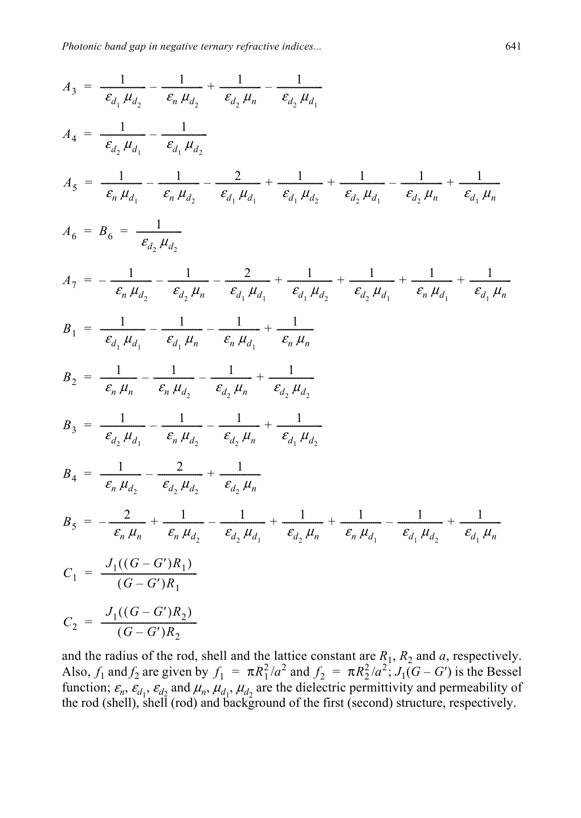$$
A_3 = \frac{1}{\epsilon_{d_1} \mu_{d_2}} - \frac{1}{\epsilon_{n_1} \mu_{d_2}} + \frac{1}{\epsilon_{d_2} \mu_{n_1}} - \frac{1}{\epsilon_{d_2} \mu_{d_1}}
$$
  
\n
$$
A_4 = \frac{1}{\epsilon_{d_2} \mu_{d_1}} - \frac{1}{\epsilon_{d_1} \mu_{d_2}}
$$
  
\n
$$
A_5 = \frac{1}{\epsilon_{n_1} \mu_{d_1}} - \frac{1}{\epsilon_{n_1} \mu_{d_2}} - \frac{2}{\epsilon_{d_1} \mu_{d_1}} + \frac{1}{\epsilon_{d_1} \mu_{d_2}} + \frac{1}{\epsilon_{d_2} \mu_{d_1}} - \frac{1}{\epsilon_{d_2} \mu_{n_1}} + \frac{1}{\epsilon_{d_1} \mu_{n_1}}
$$
  
\n
$$
A_6 = B_6 = \frac{1}{\epsilon_{d_2} \mu_{d_2}}
$$
  
\n
$$
A_7 = -\frac{1}{\epsilon_{n_1} \mu_{d_2}} - \frac{1}{\epsilon_{d_2} \mu_{n_1}} - \frac{2}{\epsilon_{d_1} \mu_{d_1}} + \frac{1}{\epsilon_{d_1} \mu_{d_2}} + \frac{1}{\epsilon_{d_2} \mu_{d_1}} + \frac{1}{\epsilon_{n_1} \mu_{d_1}} + \frac{1}{\epsilon_{d_1} \mu_{n_1}}
$$
  
\n
$$
B_1 = \frac{1}{\epsilon_{d_1} \mu_{d_1}} - \frac{1}{\epsilon_{d_1} \mu_{n_1}} - \frac{1}{\epsilon_{n_1} \mu_{d_1}} + \frac{1}{\epsilon_{n_1} \mu_{n_1}}
$$
  
\n
$$
B_2 = \frac{1}{\epsilon_{n_1} \mu_{n_1}} - \frac{1}{\epsilon_{n_1} \mu_{d_2}} - \frac{1}{\epsilon_{d_2} \mu_{n_1}} + \frac{1}{\epsilon_{d_2} \mu_{d_2}}
$$
  
\n
$$
B_3 = \frac{1}{\epsilon_{d_2} \mu_{d_1}} - \frac{1}{\epsilon_{n_1} \mu_{d_2}} - \frac{1}{\epsilon_{d_2} \mu_{n_1}} + \frac{1}{\epsilon_{d_1}
$$

and the radius of the rod, shell and the lattice constant are  $R_1$ ,  $R_2$  and  $a$ , respectively. Also,  $f_1$  and  $f_2$  are given by  $f_1 = \pi R_1^2/a^2$  and  $f_2 = \pi R_2^2/a^2$ ;  $J_1(G - G')$  is the Bessel function;  $\varepsilon_n$ ,  $\varepsilon_{d_1}$ ,  $\varepsilon_{d_2}$  and  $\mu_n$ ,  $\mu_{d_1}$ ,  $\mu_{d_2}$  are the dielectric permittivity and permeability of the rod (shell), shell (rod) and background of the first (second) structure, respectively.  $f_1 = \pi R_1^2/a^2$  and  $f_2 = \pi R_2^2/a^2$ ;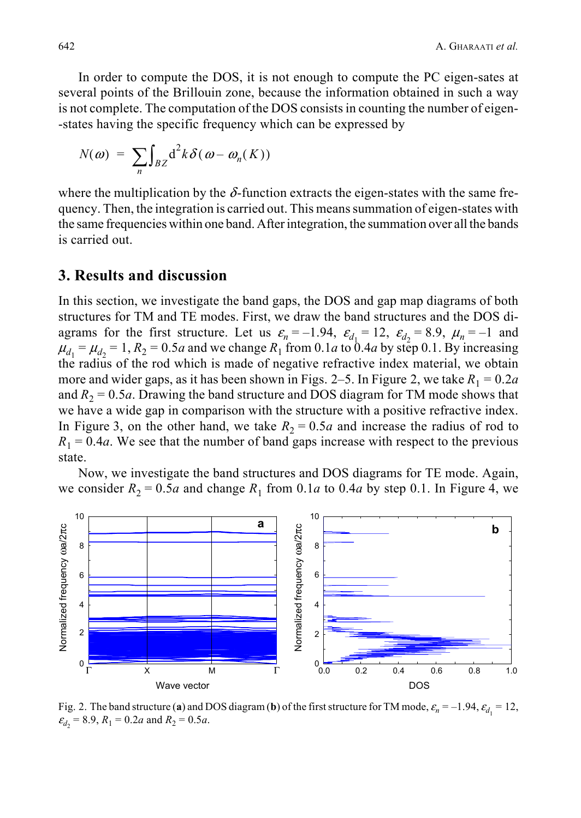In order to compute the DOS, it is not enough to compute the PC eigen-sates at several points of the Brillouin zone, because the information obtained in such a way is not complete. The computation of the DOS consists in counting the number of eigen- -states having the specific frequency which can be expressed by

$$
N(\omega) = \sum_{n} \int_{BZ} d^2k \delta(\omega - \omega_n(K))
$$

where the multiplication by the  $\delta$ -function extracts the eigen-states with the same frequency. Then, the integration is carried out. This means summation of eigen-states with the same frequencies within one band. After integration, the summation over all the bands is carried out.

#### **3. Results and discussion**

In this section, we investigate the band gaps, the DOS and gap map diagrams of both structures for TM and TE modes. First, we draw the band structures and the DOS diagrams for the first structure. Let us  $\varepsilon_n = -1.94$ ,  $\varepsilon_{d_1} = 12$ ,  $\varepsilon_{d_2} = 8.9$ ,  $\mu_n = -1$  and  $\mu_{d_1} = \mu_{d_2} = 1$ ,  $R_2 = 0.5a$  and we change  $R_1$  from 0.1*a* to 0.4*a* by step 0.1. By increasing the radius of the rod which is made of negative refractive index material, we obtain more and wider gaps, as it has been shown in Figs. 2–5. In Figure 2, we take  $R_1 = 0.2a$ and  $R_2 = 0.5a$ . Drawing the band structure and DOS diagram for TM mode shows that we have a wide gap in comparison with the structure with a positive refractive index. In Figure 3, on the other hand, we take  $R_2 = 0.5a$  and increase the radius of rod to  $R_1 = 0.4a$ . We see that the number of band gaps increase with respect to the previous state.

Now, we investigate the band structures and DOS diagrams for TE mode. Again, we consider  $R_2 = 0.5a$  and change  $R_1$  from 0.1*a* to 0.4*a* by step 0.1. In Figure 4, we



Fig. 2. The band structure (a) and DOS diagram (b) of the first structure for TM mode,  $\varepsilon_n = -1.94$ ,  $\varepsilon_d = 12$ ,  $\varepsilon_{d_2}$  = 8.9,  $R_1$  = 0.2*a* and  $R_2$  = 0.5*a*.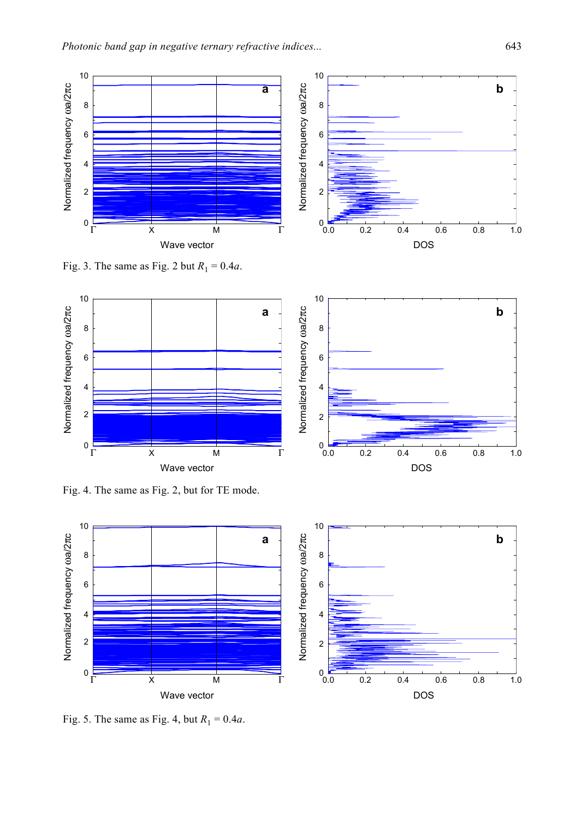

10

8

6

4

2

قا 0<br>0.0

Fig. 3. The same as Fig. 2 but  $R_1 = 0.4a$ .



Fig. 4. The same as Fig. 2, but for TE mode.



Fig. 5. The same as Fig. 4, but  $R_1 = 0.4a$ .

1.0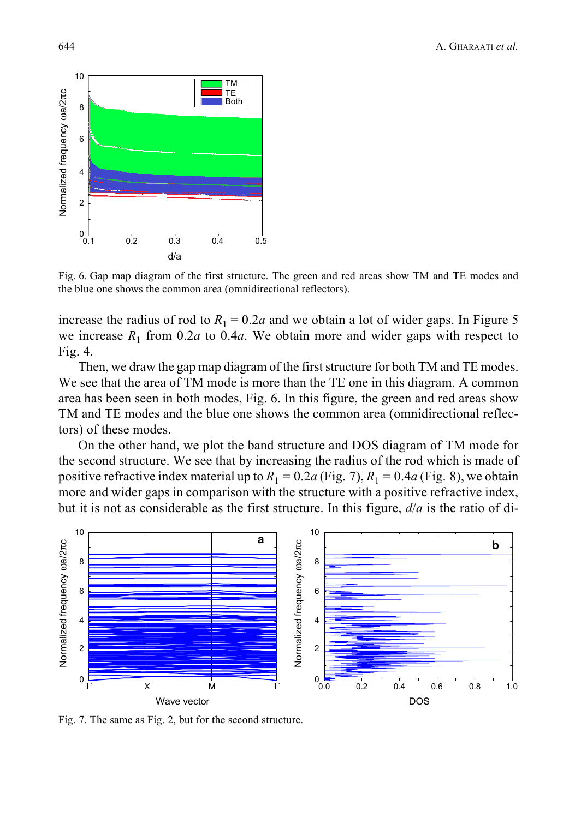

Fig. 6. Gap map diagram of the first structure. The green and red areas show TM and TE modes and the blue one shows the common area (omnidirectional reflectors).

increase the radius of rod to  $R_1 = 0.2a$  and we obtain a lot of wider gaps. In Figure 5 we increase  $R_1$  from 0.2*a* to 0.4*a*. We obtain more and wider gaps with respect to Fig. 4.

Then, we draw the gap map diagram of the first structure for both TM and TE modes. We see that the area of TM mode is more than the TE one in this diagram. A common area has been seen in both modes, Fig. 6. In this figure, the green and red areas show TM and TE modes and the blue one shows the common area (omnidirectional reflectors) of these modes.

On the other hand, we plot the band structure and DOS diagram of TM mode for the second structure. We see that by increasing the radius of the rod which is made of positive refractive index material up to  $R_1 = 0.2a$  (Fig. 7),  $R_1 = 0.4a$  (Fig. 8), we obtain more and wider gaps in comparison with the structure with a positive refractive index, but it is not as considerable as the first structure. In this figure, *d*/*a* is the ratio of di-



Fig. 7. The same as Fig. 2, but for the second structure.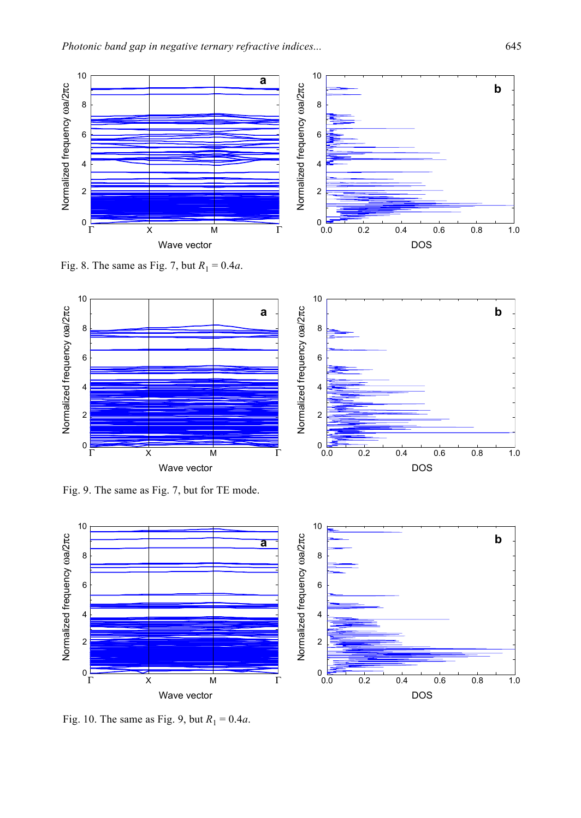

Fig. 8. The same as Fig. 7, but  $R_1 = 0.4a$ .



Fig. 9. The same as Fig. 7, but for TE mode.



10

8

6

4

Normalized frequency

ωa/2 πc

2

 $0.0$ 

Fig. 10. The same as Fig. 9, but  $R_1 = 0.4a$ .

1.0

1.0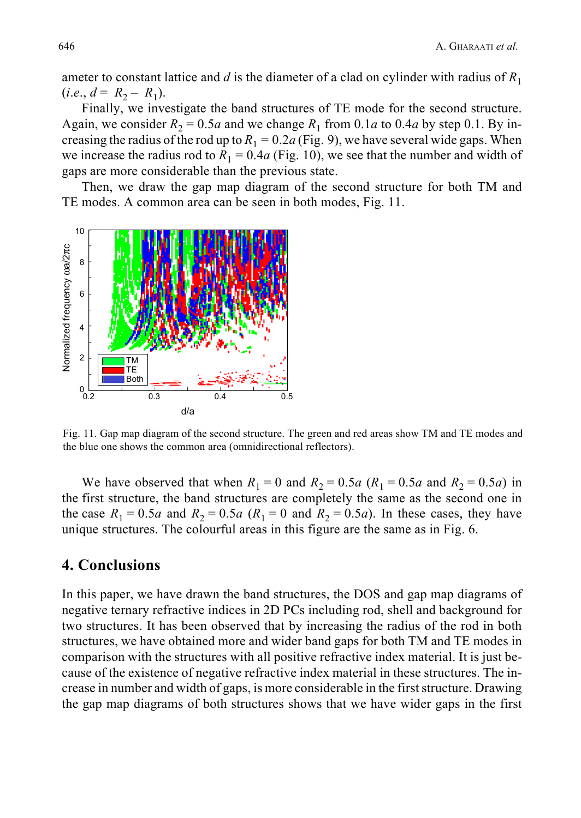ameter to constant lattice and  $d$  is the diameter of a clad on cylinder with radius of  $R_1$  $(i.e., d = R_2 - R_1).$ 

Finally, we investigate the band structures of TE mode for the second structure. Again, we consider  $R_2 = 0.5a$  and we change  $R_1$  from 0.1*a* to 0.4*a* by step 0.1. By increasing the radius of the rod up to  $R_1 = 0.2a$  (Fig. 9), we have several wide gaps. When we increase the radius rod to  $R_1 = 0.4a$  (Fig. 10), we see that the number and width of gaps are more considerable than the previous state.

Then, we draw the gap map diagram of the second structure for both TM and TE modes. A common area can be seen in both modes, Fig. 11.



Fig. 11. Gap map diagram of the second structure. The green and red areas show TM and TE modes and the blue one shows the common area (omnidirectional reflectors).

We have observed that when  $R_1 = 0$  and  $R_2 = 0.5a$  ( $R_1 = 0.5a$  and  $R_2 = 0.5a$ ) in the first structure, the band structures are completely the same as the second one in the case  $R_1 = 0.5a$  and  $R_2 = 0.5a$  ( $R_1 = 0$  and  $R_2 = 0.5a$ ). In these cases, they have unique structures. The colourful areas in this figure are the same as in Fig. 6.

## **4. Conclusions**

In this paper, we have drawn the band structures, the DOS and gap map diagrams of negative ternary refractive indices in 2D PCs including rod, shell and background for two structures. It has been observed that by increasing the radius of the rod in both structures, we have obtained more and wider band gaps for both TM and TE modes in comparison with the structures with all positive refractive index material. It is just because of the existence of negative refractive index material in these structures. The increase in number and width of gaps, is more considerable in the first structure. Drawing the gap map diagrams of both structures shows that we have wider gaps in the first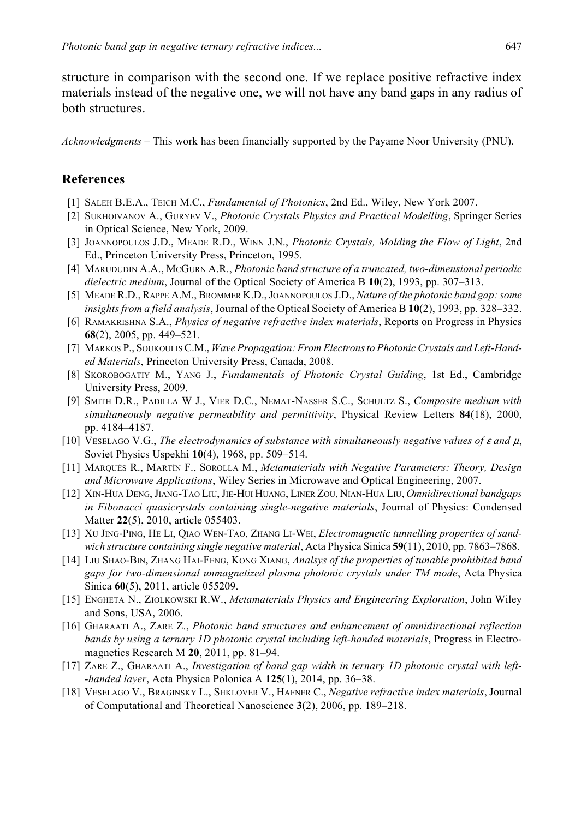structure in comparison with the second one. If we replace positive refractive index materials instead of the negative one, we will not have any band gaps in any radius of both structures.

*Acknowledgments* – This work has been financially supported by the Payame Noor University (PNU).

#### **References**

- [1] SALEH B.E.A., TEICH M.C., *Fundamental of Photonics*, 2nd Ed., Wiley, New York 2007.
- [2] SUKHOIVANOV A., GURYEV V., *Photonic Crystals Physics and Practical Modelling*, Springer Series in Optical Science, New York, 2009.
- [3] JOANNOPOULOS J.D., MEADE R.D., WINN J.N., *Photonic Crystals, Molding the Flow of Light*, 2nd Ed., Princeton University Press, Princeton, 1995.
- [4] MARUDUDIN A.A., MCGURN A.R., *Photonic band structure of a truncated, two-dimensional periodic dielectric medium*, Journal of the Optical Society of America B **10**(2), 1993, pp. 307–313.
- [5] MEADE R.D., RAPPE A.M., BROMMER K.D., JOANNOPOULOS J.D., *Nature of the photonic band gap: some insights from a field analysis*, Journal of the Optical Society of America B **10**(2), 1993, pp. 328–332.
- [6] RAMAKRISHNA S.A., *Physics of negative refractive index materials*, Reports on Progress in Physics **68**(2), 2005, pp. 449–521.
- [7] MARKOS P., SOUKOULIS C.M., *Wave Propagation: From Electrons to Photonic Crystals and Left-Handed Materials*, Princeton University Press, Canada, 2008.
- [8] SKOROBOGATIY M., YANG J., *Fundamentals of Photonic Crystal Guiding*, 1st Ed., Cambridge University Press, 2009.
- [9] SMITH D.R., PADILLA W J., VIER D.C., NEMAT-NASSER S.C., SCHULTZ S., *Composite medium with simultaneously negative permeability and permittivity*, Physical Review Letters **84**(18), 2000, pp. 4184–4187.
- [10] VESELAGO V.G., *The electrodynamics of substance with simultaneously negative values of* ε *and* μ, Soviet Physics Uspekhi **10**(4), 1968, pp. 509–514.
- [11] MARQUÉS R., MARTÍN F., SOROLLA M., *Metamaterials with Negative Parameters: Theory, Design and Microwave Applications*, Wiley Series in Microwave and Optical Engineering, 2007.
- [12] XIN-HUA DENG, JIANG-TAO LIU, JIE-HUI HUANG, LINER ZOU, NIAN-HUA LIU, *Omnidirectional bandgaps in Fibonacci quasicrystals containing single-negative materials*, Journal of Physics: Condensed Matter **22**(5), 2010, article 055403.
- [13] XU JING-PING, HE LI, QIAO WEN-TAO, ZHANG LI-WEI, *Electromagnetic tunnelling properties of sandwich structure containing single negative material*, Acta Physica Sinica **59**(11), 2010, pp. 7863–7868.
- [14] LIU SHAO-BIN, ZHANG HAI-FENG, KONG XIANG, *Analsys of the properties of tunable prohibited band gaps for two-dimensional unmagnetized plasma photonic crystals under TM mode*, Acta Physica Sinica **60**(5), 2011, article 055209.
- [15] ENGHETA N., ZIOLKOWSKI R.W., *Metamaterials Physics and Engineering Exploration*, John Wiley and Sons, USA, 2006.
- [16] GHARAATI A., ZARE Z., *Photonic band structures and enhancement of omnidirectional reflection bands by using a ternary 1D photonic crystal including left-handed materials*, Progress in Electromagnetics Research M **20**, 2011, pp. 81–94.
- [17] ZARE Z., GHARAATI A., *Investigation of band gap width in ternary 1D photonic crystal with left- -handed layer*, Acta Physica Polonica A **125**(1), 2014, pp. 36–38.
- [18] VESELAGO V., BRAGINSKY L., SHKLOVER V., HAFNER C., *Negative refractive index materials*, Journal of Computational and Theoretical Nanoscience **3**(2), 2006, pp. 189–218.